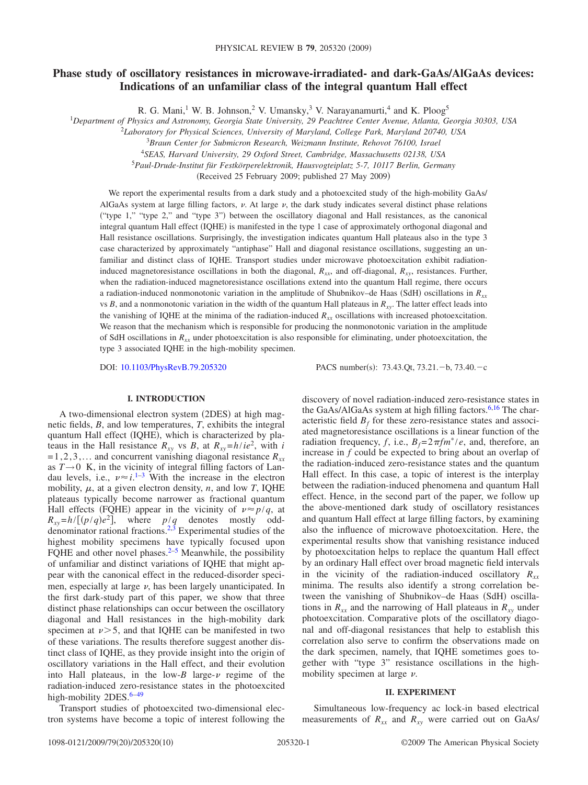# **Phase study of oscillatory resistances in microwave-irradiated- and dark-GaAs/AlGaAs devices: Indications of an unfamiliar class of the integral quantum Hall effect**

R. G. Mani,<sup>1</sup> W. B. Johnson,<sup>2</sup> V. Umansky,<sup>3</sup> V. Narayanamurti,<sup>4</sup> and K. Ploog<sup>5</sup>

1 *Department of Physics and Astronomy, Georgia State University, 29 Peachtree Center Avenue, Atlanta, Georgia 30303, USA*

2 *Laboratory for Physical Sciences, University of Maryland, College Park, Maryland 20740, USA*

<sup>3</sup>*Braun Center for Submicron Research, Weizmann Institute, Rehovot 76100, Israel*

<sup>4</sup>*SEAS, Harvard University, 29 Oxford Street, Cambridge, Massachusetts 02138, USA*

<sup>5</sup>*Paul-Drude-Institut für Festkörperelektronik, Hausvogteiplatz 5-7, 10117 Berlin, Germany*

Received 25 February 2009; published 27 May 2009-

We report the experimental results from a dark study and a photoexcited study of the high-mobility GaAs/ AlGaAs system at large filling factors,  $\nu$ . At large  $\nu$ , the dark study indicates several distinct phase relations ""type 1," "type 2," and "type 3") between the oscillatory diagonal and Hall resistances, as the canonical integral quantum Hall effect (IQHE) is manifested in the type 1 case of approximately orthogonal diagonal and Hall resistance oscillations. Surprisingly, the investigation indicates quantum Hall plateaus also in the type 3 case characterized by approximately "antiphase" Hall and diagonal resistance oscillations, suggesting an unfamiliar and distinct class of IQHE. Transport studies under microwave photoexcitation exhibit radiationinduced magnetoresistance oscillations in both the diagonal,  $R_{xx}$ , and off-diagonal,  $R_{xy}$ , resistances. Further, when the radiation-induced magnetoresistance oscillations extend into the quantum Hall regime, there occurs a radiation-induced nonmonotonic variation in the amplitude of Shubnikov–de Haas (SdH) oscillations in  $R_{xx}$ vs  $B$ , and a nonmonotonic variation in the width of the quantum Hall plateaus in  $R_{xy}$ . The latter effect leads into the vanishing of IQHE at the minima of the radiation-induced  $R_{xx}$  oscillations with increased photoexcitation. We reason that the mechanism which is responsible for producing the nonmonotonic variation in the amplitude of SdH oscillations in  $R_{xx}$  under photoexcitation is also responsible for eliminating, under photoexcitation, the type 3 associated IQHE in the high-mobility specimen.

DOI: [10.1103/PhysRevB.79.205320](http://dx.doi.org/10.1103/PhysRevB.79.205320)

:  $73.43$ .Qt,  $73.21 - b$ ,  $73.40 - c$ 

# **I. INTRODUCTION**

A two-dimensional electron system (2DES) at high magnetic fields, *B*, and low temperatures, *T*, exhibits the integral quantum Hall effect (IQHE), which is characterized by plateaus in the Hall resistance  $R_{xy}$  vs *B*, at  $R_{xy} = h/ie^2$ , with *i*  $= 1, 2, 3,...$  and concurrent vanishing diagonal resistance  $R_{xx}$ as  $T \rightarrow 0$  K, in the vicinity of integral filling factors of Landau levels, i.e.,  $\nu \approx i$ .<sup>[1–](#page-8-0)[3](#page-8-1)</sup> With the increase in the electron mobility,  $\mu$ , at a given electron density,  $n$ , and low  $T$ , IQHE plateaus typically become narrower as fractional quantum Hall effects (FQHE) appear in the vicinity of  $\nu \approx p/q$ , at  $R_{xy} = h / [(p/q)e^2]$ , where  $p/q$  denotes mostly odd-denominator rational fractions.<sup>2,[3](#page-8-1)</sup> Experimental studies of the highest mobility specimens have typically focused upon FQHE and other novel phases. $2-5$  $2-5$  Meanwhile, the possibility of unfamiliar and distinct variations of IQHE that might appear with the canonical effect in the reduced-disorder specimen, especially at large  $\nu$ , has been largely unanticipated. In the first dark-study part of this paper, we show that three distinct phase relationships can occur between the oscillatory diagonal and Hall resistances in the high-mobility dark specimen at  $\nu$  > 5, and that IQHE can be manifested in two of these variations. The results therefore suggest another distinct class of IQHE, as they provide insight into the origin of oscillatory variations in the Hall effect, and their evolution into Hall plateaus, in the low- $B$  large- $\nu$  regime of the radiation-induced zero-resistance states in the photoexcited high-mobility 2DES.<sup>6-[49](#page-9-0)</sup>

Transport studies of photoexcited two-dimensional electron systems have become a topic of interest following the discovery of novel radiation-induced zero-resistance states in the GaAs/AlGaAs system at high filling factors.<sup>6[,16](#page-9-1)</sup> The characteristic field  $B_f$  for these zero-resistance states and associated magnetoresistance oscillations is a linear function of the radiation frequency, *f*, i.e.,  $B_f = 2\pi f m^* / e$ , and, therefore, an increase in *f* could be expected to bring about an overlap of the radiation-induced zero-resistance states and the quantum Hall effect. In this case, a topic of interest is the interplay between the radiation-induced phenomena and quantum Hall effect. Hence, in the second part of the paper, we follow up the above-mentioned dark study of oscillatory resistances and quantum Hall effect at large filling factors, by examining also the influence of microwave photoexcitation. Here, the experimental results show that vanishing resistance induced by photoexcitation helps to replace the quantum Hall effect by an ordinary Hall effect over broad magnetic field intervals in the vicinity of the radiation-induced oscillatory  $R_{xx}$ minima. The results also identify a strong correlation between the vanishing of Shubnikov-de Haas (SdH) oscillations in  $R_{xx}$  and the narrowing of Hall plateaus in  $R_{xy}$  under photoexcitation. Comparative plots of the oscillatory diagonal and off-diagonal resistances that help to establish this correlation also serve to confirm the observations made on the dark specimen, namely, that IQHE sometimes goes together with "type 3" resistance oscillations in the highmobility specimen at large  $\nu$ .

# **II. EXPERIMENT**

Simultaneous low-frequency ac lock-in based electrical measurements of  $R_{xx}$  and  $R_{xy}$  were carried out on GaAs/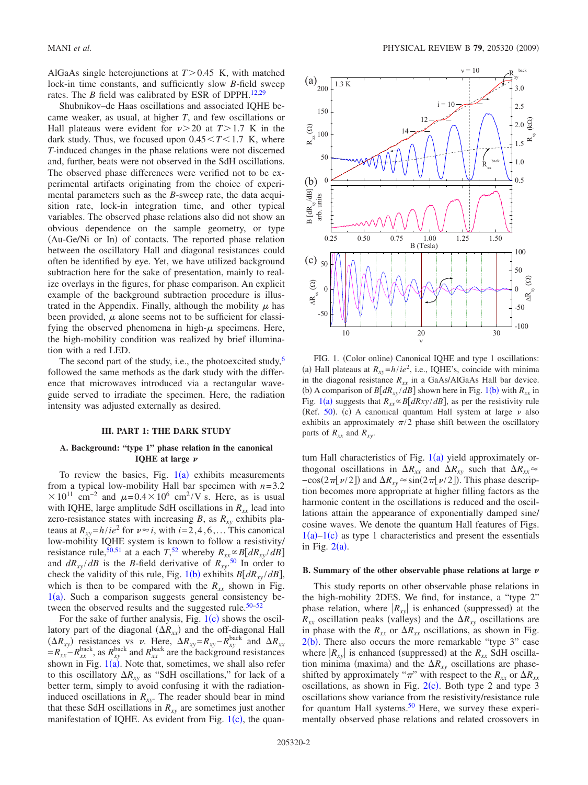AlGaAs single heterojunctions at  $T > 0.45$  K, with matched lock-in time constants, and sufficiently slow *B*-field sweep rates. The *B* field was calibrated by ESR of DPPH.<sup>12[,29](#page-9-3)</sup>

Shubnikov–de Haas oscillations and associated IQHE became weaker, as usual, at higher *T*, and few oscillations or Hall plateaus were evident for  $\nu > 20$  at  $T > 1.7$  K in the dark study. Thus, we focused upon  $0.45 \le T \le 1.7$  K, where *T*-induced changes in the phase relations were not discerned and, further, beats were not observed in the SdH oscillations. The observed phase differences were verified not to be experimental artifacts originating from the choice of experimental parameters such as the *B*-sweep rate, the data acquisition rate, lock-in integration time, and other typical variables. The observed phase relations also did not show an obvious dependence on the sample geometry, or type (Au-Ge/Ni or In) of contacts. The reported phase relation between the oscillatory Hall and diagonal resistances could often be identified by eye. Yet, we have utilized background subtraction here for the sake of presentation, mainly to realize overlays in the figures, for phase comparison. An explicit example of the background subtraction procedure is illustrated in the Appendix. Finally, although the mobility  $\mu$  has been provided,  $\mu$  alone seems not to be sufficient for classifying the observed phenomena in high- $\mu$  specimens. Here, the high-mobility condition was realized by brief illumination with a red LED.

The second part of the study, i.e., the photoexcited study,  $\frac{6}{5}$ followed the same methods as the dark study with the difference that microwaves introduced via a rectangular waveguide served to irradiate the specimen. Here, the radiation intensity was adjusted externally as desired.

# **III. PART 1: THE DARK STUDY**

# **A. Background: "type 1" phase relation in the canonical IQHE at large**

To review the basics, Fig.  $1(a)$  $1(a)$  exhibits measurements from a typical low-mobility Hall bar specimen with  $n=3.2$  $\times 10^{11}$  cm<sup>-2</sup> and  $\mu$ =0.4 $\times 10^{6}$  cm<sup>2</sup>/V s. Here, as is usual with IQHE, large amplitude SdH oscillations in  $R_{xx}$  lead into zero-resistance states with increasing *B*, as  $R_{xy}$  exhibits plateaus at  $R_{xy} = h/ie^2$  for  $\nu \approx i$ , with  $i = 2, 4, 6, \ldots$  This canonical low-mobility IQHE system is known to follow a resistivity/ resistance rule,<sup>50[,51](#page-9-5)</sup> at a each  $T^{52}$  $T^{52}$  $T^{52}$ , whereby  $R_{xx} \propto B[dR_{xy}/dB]$ and  $dR_{xy}/dB$  is the *B*-field derivative of  $R_{xy}$ .<sup>[50](#page-9-4)</sup> In order to check the validity of this rule, Fig. [1](#page-1-0)(b) exhibits  $B[dR_{xy}/dB]$ , which is then to be compared with the  $R_{xx}$  shown in Fig.  $1(a)$  $1(a)$ . Such a comparison suggests general consistency between the observed results and the suggested rule. $50-52$ 

For the sake of further analysis, Fig.  $1(c)$  $1(c)$  shows the oscillatory part of the diagonal  $(\Delta R_{xx})$  and the off-diagonal Hall  $(\Delta R_{xy})$  resistances vs v. Here,  $\Delta R_{xy} = R_{xy} - R_{xy}^{\text{back}}$  and  $\Delta R_{xx}$  $=R_{xx}-R_{xx}^{\text{back}}$ , as  $R_{xy}^{\text{back}}$  and  $R_{xx}^{\text{back}}$  are the background resistances shown in Fig.  $1(a)$  $1(a)$ . Note that, sometimes, we shall also refer to this oscillatory  $\Delta R_{xy}$  as "SdH oscillations," for lack of a better term, simply to avoid confusing it with the radiationinduced oscillations in  $R_{xy}$ . The reader should bear in mind that these SdH oscillations in  $R_{xy}$  are sometimes just another manifestation of IQHE. As evident from Fig.  $1(c)$  $1(c)$ , the quan-

<span id="page-1-0"></span>

FIG. 1. (Color online) Canonical IQHE and type 1 oscillations: (a) Hall plateaus at  $R_{xy} = h/ie^2$ , i.e., IQHE's, coincide with minima in the diagonal resistance  $R_{xx}$  in a GaAs/AlGaAs Hall bar device. (b) A comparison of  $B[dR_{xy}/dB]$  shown here in Fig. [1](#page-1-0)(b) with  $R_{xx}$  in Fig. [1](#page-1-0)(a) suggests that  $R_{xx} \propto B[dRxy/dB]$ , as per the resistivity rule (Ref. [50](#page-9-4)). (c) A canonical quantum Hall system at large  $\nu$  also exhibits an approximately  $\pi/2$  phase shift between the oscillatory parts of  $R_{xx}$  and  $R_{xy}$ .

tum Hall characteristics of Fig.  $1(a)$  $1(a)$  yield approximately orthogonal oscillations in  $\Delta R_{xx}$  and  $\Delta R_{xy}$  such that  $\Delta R_{xx} \approx$  $-\cos(2\pi[\nu/2])$  and  $\Delta R_{xy} \approx \sin(2\pi[\nu/2])$ . This phase description becomes more appropriate at higher filling factors as the harmonic content in the oscillations is reduced and the oscillations attain the appearance of exponentially damped sine/ cosine waves. We denote the quantum Hall features of Figs.  $1(a)-1(c)$  $1(a)-1(c)$  as type 1 characteristics and present the essentials in Fig.  $2(a)$  $2(a)$ .

#### **B. Summary of the other observable phase relations at large**

This study reports on other observable phase relations in the high-mobility 2DES. We find, for instance, a "type 2" phase relation, where  $|R_{xy}|$  is enhanced (suppressed) at the  $R_{xx}$  oscillation peaks (valleys) and the  $\Delta R_{xy}$  oscillations are in phase with the  $R_{xx}$  or  $\Delta R_{xx}$  oscillations, as shown in Fig.  $2(b)$  $2(b)$ . There also occurs the more remarkable "type 3" case where  $|R_{xy}|$  is enhanced (suppressed) at the  $R_{xx}$  SdH oscillation minima (maxima) and the  $\Delta R_{xy}$  oscillations are phaseshifted by approximately " $\pi$ " with respect to the  $R_{xx}$  or  $\Delta R_{xx}$ oscillations, as shown in Fig.  $2(c)$  $2(c)$ . Both type 2 and type 3 oscillations show variance from the resistivity/resistance rule for quantum Hall systems.<sup>50</sup> Here, we survey these experimentally observed phase relations and related crossovers in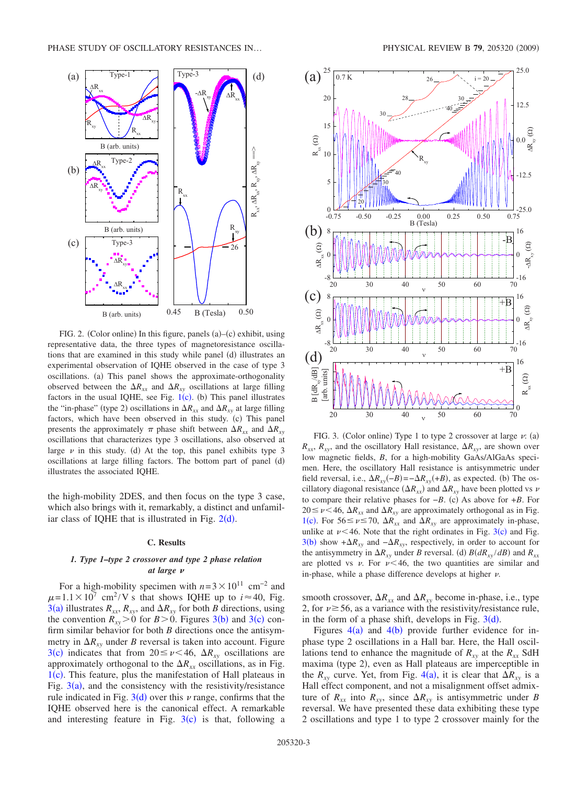<span id="page-2-0"></span>

FIG. 2. (Color online) In this figure, panels  $(a)$ – $(c)$  exhibit, using representative data, the three types of magnetoresistance oscillations that are examined in this study while panel (d) illustrates an experimental observation of IQHE observed in the case of type 3 oscillations. (a) This panel shows the approximate-orthogonality observed between the  $\Delta R_{xx}$  and  $\Delta R_{xy}$  oscillations at large filling factors in the usual IQHE, see Fig.  $1(c)$  $1(c)$ . (b) This panel illustrates the "in-phase" (type 2) oscillations in  $\Delta R_{xx}$  and  $\Delta R_{xy}$  at large filling factors, which have been observed in this study. (c) This panel presents the approximately  $\pi$  phase shift between  $\Delta R_{xx}$  and  $\Delta R_{xy}$ oscillations that characterizes type 3 oscillations, also observed at large  $\nu$  in this study. (d) At the top, this panel exhibits type 3 oscillations at large filling factors. The bottom part of panel (d) illustrates the associated IQHE.

the high-mobility 2DES, and then focus on the type 3 case, which also brings with it, remarkably, a distinct and unfamiliar class of IQHE that is illustrated in Fig.  $2(d)$  $2(d)$ .

#### **C. Results**

### *1. Type 1–type 2 crossover and type 2 phase relation at large*

For a high-mobility specimen with  $n=3\times10^{11}$  cm<sup>-2</sup> and  $\mu = 1.1 \times 10^7$  cm<sup>2</sup>/V s that shows IQHE up to  $i \approx 40$ , Fig. [3](#page-2-1)(a) illustrates  $R_{xx}$ ,  $R_{xy}$ , and  $\Delta R_{xy}$  for both *B* directions, using the convention  $R_{xy}$  > 0 for *B* > 0. Figures [3](#page-2-1)(b) and 3(c) confirm similar behavior for both *B* directions once the antisymmetry in  $\Delta R_{xy}$  under *B* reversal is taken into account. Figure [3](#page-2-1)(c) indicates that from  $20 \le \nu < 46$ ,  $\Delta R_{xy}$  oscillations are approximately orthogonal to the  $\Delta R_{xx}$  oscillations, as in Fig. [1](#page-1-0)(c). This feature, plus the manifestation of Hall plateaus in Fig.  $3(a)$  $3(a)$ , and the consistency with the resistivity/resistance rule indicated in Fig.  $3(d)$  $3(d)$  over this  $\nu$  range, confirms that the IQHE observed here is the canonical effect. A remarkable and interesting feature in Fig.  $3(c)$  $3(c)$  is that, following a

<span id="page-2-1"></span>

FIG. 3. (Color online) Type 1 to type 2 crossover at large  $v: (a)$  $R_{xx}$ ,  $R_{xy}$ , and the oscillatory Hall resistance,  $\Delta R_{xy}$ , are shown over low magnetic fields, *B*, for a high-mobility GaAs/AlGaAs specimen. Here, the oscillatory Hall resistance is antisymmetric under field reversal, i.e.,  $\Delta R_{xy}(-B) = -\Delta R_{xy}(+B)$ , as expected. (b) The oscillatory diagonal resistance  $(\Delta R_{xx})$  and  $\Delta R_{xy}$  have been plotted vs  $\nu$ to compare their relative phases for  $-B$ . (c) As above for  $+B$ . For  $20 \le \nu \le 46$ ,  $\Delta R_{xx}$  and  $\Delta R_{xy}$  are approximately orthogonal as in Fig. [1](#page-1-0)(c). For  $56 \le \nu \le 70$ ,  $\Delta R_{xx}$  and  $\Delta R_{xy}$  are approximately in-phase, unlike at  $\nu$ <46. Note that the right ordinates in Fig. [3](#page-2-1)(c) and Fig.  $3(b)$  $3(b)$  show  $+\Delta R_{xy}$  and  $-\Delta R_{xy}$ , respectively, in order to account for the antisymmetry in  $\Delta R_{xy}$  under *B* reversal. (d)  $B(dR_{xy}/dB)$  and  $R_{xx}$ are plotted vs  $\nu$ . For  $\nu < 46$ , the two quantities are similar and in-phase, while a phase difference develops at higher  $\nu$ .

smooth crossover,  $\Delta R_{xx}$  and  $\Delta R_{xy}$  become in-phase, i.e., type 2, for  $\nu \ge 56$ , as a variance with the resistivity/resistance rule, in the form of a phase shift, develops in Fig.  $3(d)$  $3(d)$ .

Figures  $4(a)$  $4(a)$  and  $4(b)$  provide further evidence for inphase type 2 oscillations in a Hall bar. Here, the Hall oscillations tend to enhance the magnitude of  $R_{xy}$  at the  $R_{xx}$  SdH maxima (type 2), even as Hall plateaus are imperceptible in the  $R_{xy}$  curve. Yet, from Fig. [4](#page-3-0)(a), it is clear that  $\Delta R_{xy}$  is a Hall effect component, and not a misalignment offset admixture of  $R_{xx}$  into  $R_{xy}$ , since  $\Delta R_{xy}$  is antisymmetric under *B* reversal. We have presented these data exhibiting these type 2 oscillations and type 1 to type 2 crossover mainly for the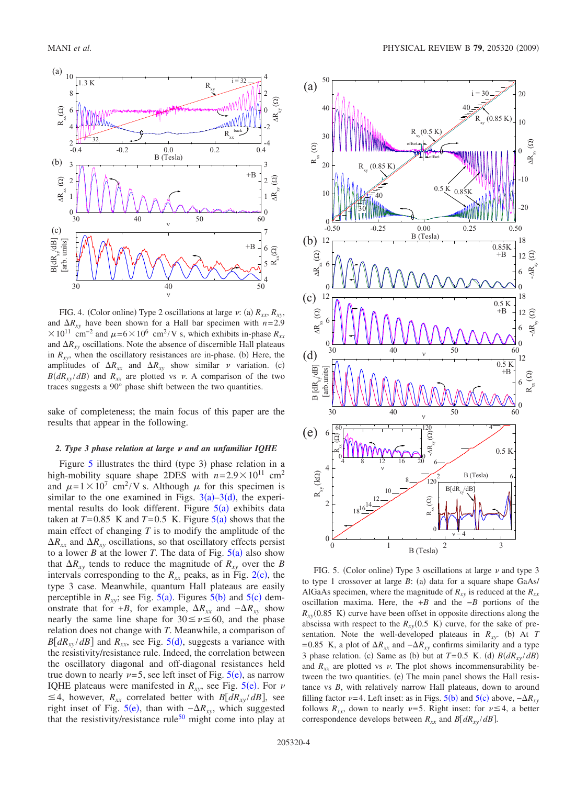<span id="page-3-0"></span>

FIG. 4. (Color online) Type 2 oscillations at large  $\nu$ : (a)  $R_{xx}$ ,  $R_{xy}$ , and  $\Delta R_{xy}$  have been shown for a Hall bar specimen with  $n=2.9$  $\times 10^{11}$  cm<sup>-2</sup> and  $\mu$ =6 $\times$ 10<sup>6</sup> cm<sup>2</sup>/V s, which exhibits in-phase  $R_{xx}$ and  $\Delta R_{xy}$  oscillations. Note the absence of discernible Hall plateaus in  $R_{xy}$ , when the oscillatory resistances are in-phase. (b) Here, the amplitudes of  $\Delta R_{xx}$  and  $\Delta R_{xy}$  show similar  $\nu$  variation. (c)  $B(dR_{xy}/dB)$  and  $R_{xx}$  are plotted vs  $\nu$ . A comparison of the two traces suggests a 90° phase shift between the two quantities.

sake of completeness; the main focus of this paper are the results that appear in the following.

## 2. Type 3 phase relation at large v and an unfamiliar IQHE

Figure  $5$  illustrates the third (type 3) phase relation in a high-mobility square shape 2DES with  $n=2.9\times10^{11}$  cm<sup>2</sup> and  $\mu = 1 \times 10^7$  cm<sup>2</sup>/V s. Although  $\mu$  for this specimen is similar to the one examined in Figs.  $3(a) - 3(d)$  $3(a) - 3(d)$ , the experimental results do look different. Figure  $5(a)$  $5(a)$  exhibits data taken at  $T=0.85$  $T=0.85$  K and  $T=0.5$  K. Figure  $5(a)$  shows that the main effect of changing *T* is to modify the amplitude of the  $\Delta R_{xx}$  and  $\Delta R_{xy}$  oscillations, so that oscillatory effects persist to a lower *B* at the lower *T*. The data of Fig.  $5(a)$  $5(a)$  also show that  $\Delta R_{xy}$  tends to reduce the magnitude of  $R_{xy}$  over the *B* intervals corresponding to the  $R_{xx}$  peaks, as in Fig. [2](#page-2-0)(c), the type 3 case. Meanwhile, quantum Hall plateaus are easily perceptible in  $R_{xy}$ ; see Fig. [5](#page-3-1)(a). Figures 5(b) and 5(c) demonstrate that for +*B*, for example,  $\Delta R_{xx}$  and  $-\Delta R_{xy}$  show nearly the same line shape for  $30 \le v \le 60$ , and the phase relation does not change with *T*. Meanwhile, a comparison of  $B[dR_{xy}/dB]$  and  $R_{xx}$ , see Fig. [5](#page-3-1)(d), suggests a variance with the resistivity/resistance rule. Indeed, the correlation between the oscillatory diagonal and off-diagonal resistances held true down to nearly  $\nu = 5$  $\nu = 5$ , see left inset of Fig.  $5(e)$ , as narrow IQHE plateaus were manifested in  $R_{xy}$ , see Fig. [5](#page-3-1)(e). For  $\nu$  $\leq$  4, however,  $R_{xx}$  correlated better with  $B[dR_{xy}/dB]$ , see right inset of Fig. [5](#page-3-1)(e), than with  $-\Delta R_{xy}$ , which suggested that the resistivity/resistance rule<sup>50</sup> might come into play at

<span id="page-3-1"></span>

FIG. 5. (Color online) Type 3 oscillations at large  $\nu$  and type 3 to type 1 crossover at large B: (a) data for a square shape GaAs/ AlGaAs specimen, where the magnitude of  $R_{xy}$  is reduced at the  $R_{xx}$ oscillation maxima. Here, the +*B* and the −*B* portions of the  $R_{xy}(0.85 \text{ K})$  curve have been offset in opposite directions along the abscissa with respect to the  $R_{xy}(0.5 \text{ K})$  curve, for the sake of presentation. Note the well-developed plateaus in  $R_{xy}$ . (b) At *T* = 0.85 K, a plot of  $\Delta R_{xx}$  and  $-\Delta R_{xy}$  confirms similarity and a type 3 phase relation. (c) Same as (b) but at  $T=0.5$  K. (d)  $B(dR_{xy}/dB)$ and  $R_{xx}$  are plotted vs  $\nu$ . The plot shows incommensurability between the two quantities. (e) The main panel shows the Hall resistance vs *B*, with relatively narrow Hall plateaus, down to around filling factor  $\nu = 4$ . Left inset: as in Figs. [5](#page-3-1)(b) and 5(c) above,  $-\Delta R_{xy}$ follows  $R_{xx}$ , down to nearly  $\nu = 5$ . Right inset: for  $\nu \leq 4$ , a better correspondence develops between  $R_{xx}$  and  $B[dR_{xy}/dB]$ .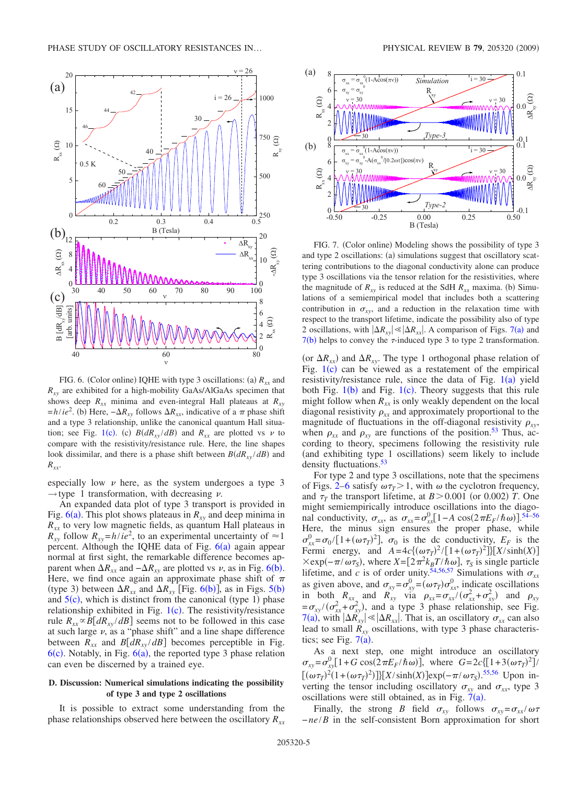<span id="page-4-0"></span>

FIG. 6. (Color online) IQHE with type 3 oscillations: (a)  $R_{xx}$  and  $R_{xy}$  are exhibited for a high-mobility GaAs/AlGaAs specimen that shows deep  $R_{xx}$  minima and even-integral Hall plateaus at  $R_{xy}$  $=h/ie^2$ . (b) Here,  $-\Delta R_{xy}$  follows  $\Delta R_{xx}$ , indicative of a  $\pi$  phase shift and a type 3 relationship, unlike the canonical quantum Hall situa-tion; see Fig. [1](#page-1-0)(c). (c)  $B(dR_{xy}/dB)$  and  $R_{xx}$  are plotted vs  $\nu$  to compare with the resistivity/resistance rule. Here, the line shapes look dissimilar, and there is a phase shift between  $B(dR_{xy}/dB)$  and *Rxx*.

especially low  $\nu$  here, as the system undergoes a type 3  $\rightarrow$  type 1 transformation, with decreasing  $\nu$ .

An expanded data plot of type 3 transport is provided in Fig.  $6(a)$  $6(a)$ . This plot shows plateaus in  $R_{xy}$  and deep minima in  $R_{xx}$  to very low magnetic fields, as quantum Hall plateaus in  $R_{xy}$  follow  $R_{xy} = h/ie^2$ , to an experimental uncertainty of  $\approx 1$ percent. Although the IQHE data of Fig.  $6(a)$  $6(a)$  again appear normal at first sight, the remarkable difference becomes apparent when  $\Delta R_{xx}$  and  $-\Delta R_{xy}$  are plotted vs  $\nu$ , as in Fig. [6](#page-4-0)(b). Here, we find once again an approximate phase shift of  $\pi$ (type 3) between  $\Delta R_{xx}$  and  $\Delta R_{xy}$  [Fig. [6](#page-4-0)(b)], as in Figs. [5](#page-3-1)(b) and  $5(c)$  $5(c)$ , which is distinct from the canonical (type 1) phase relationship exhibited in Fig.  $1(c)$  $1(c)$ . The resistivity/resistance rule  $R_{xx} \propto B[dR_{xy}/dB]$  seems not to be followed in this case at such large  $\nu$ , as a "phase shift" and a line shape difference between  $R_{xx}$  and  $B[dR_{xy}/dB]$  becomes perceptible in Fig.  $6(c)$  $6(c)$ . Notably, in Fig.  $6(a)$ , the reported type 3 phase relation can even be discerned by a trained eye.

# **D. Discussion: Numerical simulations indicating the possibility of type 3 and type 2 oscillations**

It is possible to extract some understanding from the phase relationships observed here between the oscillatory  $R_{xx}$ 

<span id="page-4-1"></span>

FIG. 7. (Color online) Modeling shows the possibility of type 3 and type 2 oscillations: (a) simulations suggest that oscillatory scattering contributions to the diagonal conductivity alone can produce type 3 oscillations via the tensor relation for the resistivities, where the magnitude of  $R_{xy}$  is reduced at the SdH  $R_{xx}$  maxima. (b) Simulations of a semiempirical model that includes both a scattering contribution in  $\sigma_{xy}$ , and a reduction in the relaxation time with respect to the transport lifetime, indicate the possibility also of type 2 oscillations, with  $|\Delta R_{xy}| \ll |\Delta R_{xx}|$ . A comparison of Figs. [7](#page-4-1)(a) and  $7(b)$  $7(b)$  helps to convey the  $\tau$ -induced type 3 to type 2 transformation.

(or  $\Delta R_{xx}$ ) and  $\Delta R_{xy}$ . The type 1 orthogonal phase relation of Fig.  $1(c)$  $1(c)$  can be viewed as a restatement of the empirical resistivity/resistance rule, since the data of Fig.  $1(a)$  $1(a)$  yield both Fig.  $1(b)$  $1(b)$  and Fig.  $1(c)$ . Theory suggests that this rule might follow when  $R_{xx}$  is only weakly dependent on the local diagonal resistivity  $\rho_{xx}$  and approximately proportional to the magnitude of fluctuations in the off-diagonal resistivity  $\rho_{xy}$ , when  $\rho_{xx}$  and  $\rho_{xy}$  are functions of the position.<sup>53</sup> Thus, according to theory, specimens following the resistivity rule (and exhibiting type 1 oscillations) seem likely to include density fluctuations.<sup>53</sup>

For type 2 and type 3 oscillations, note that the specimens of Figs. [2–](#page-2-0)[6](#page-4-0) satisfy  $\omega \tau$ <sub>T</sub> > 1, with  $\omega$  the cyclotron frequency, and  $\tau_T$  the transport lifetime, at  $B > 0.001$  (or 0.002) *T*. One might semiempirically introduce oscillations into the diagonal conductivity,  $\sigma_{xx}$ , as  $\sigma_{xx} = \sigma_{xx}^0 [1 - A \cos(2\pi E_F/\hbar \omega)]^{54-56}$  $\sigma_{xx} = \sigma_{xx}^0 [1 - A \cos(2\pi E_F/\hbar \omega)]^{54-56}$  $\sigma_{xx} = \sigma_{xx}^0 [1 - A \cos(2\pi E_F/\hbar \omega)]^{54-56}$ Here, the minus sign ensures the proper phase, while  $\sigma_{xx}^0 = \sigma_0 / [1 + (\omega \tau)^2]$ ,  $\sigma_0$  is the dc conductivity,  $E_F$  is the Fermi energy, and  $A = 4c \{ (\omega \tau_T)^2 / [1 + (\omega \tau_T)^2] \} [X / \sinh(X)]$  $\times$ exp( $-\pi/\omega\tau_s$ ), where *X*=[2 $\pi^2 k_B T/\hbar\omega$ ],  $\tau_s$  is single particle lifetime, and *c* is of order unity.<sup>54,[56,](#page-9-9)[57](#page-9-10)</sup> Simulations with  $\sigma_{xx}$ as given above, and  $\sigma_{xy} = \sigma_{xy}^0 = (\omega \tau_T) \sigma_{xx}^0$ , indicate oscillations in both  $R_{xx}$  and  $R_{xy}$  via  $\rho_{xx} = \sigma_{xx} / (\sigma_{xx}^2 + \sigma_{xy}^2)$  and  $\rho_{xy}$  $= \sigma_{xy}/(\sigma_{xx}^2 + \sigma_{xy}^2)$ , and a type 3 phase relationship, see Fig. [7](#page-4-1)(a), with  $|\Delta R_{xy}|\ll |\Delta R_{xx}|$ . That is, an oscillatory  $\sigma_{xx}$  can also lead to small  $\hat{R}_{xy}$  oscillations, with type 3 phase characteristics; see Fig.  $7(a)$  $7(a)$ .

As a next step, one might introduce an oscillatory  $\sigma_{xy} = \sigma_{xy}^0 [1 + G \cos(2\pi E_F/\hbar \omega)], \text{ where } G = 2c \{[1 + 3(\omega \tau_T)^2]\}$  $[(\omega \tau_T)^2(1+(\omega \tau_T)^2)]\}[X/\sinh(X)]\exp(-\pi/\omega \tau_S).$ <sup>[55](#page-9-11)[,56](#page-9-9)</sup> Upon inverting the tensor including oscillatory  $\sigma_{xy}$  and  $\sigma_{xx}$ , type 3 oscillations were still obtained, as in Fig.  $7(a)$  $7(a)$ .

Finally, the strong *B* field  $\sigma_{xy}$  follows  $\sigma_{xy} = \sigma_{xx}/\omega\tau$ −*ne*/*B* in the self-consistent Born approximation for short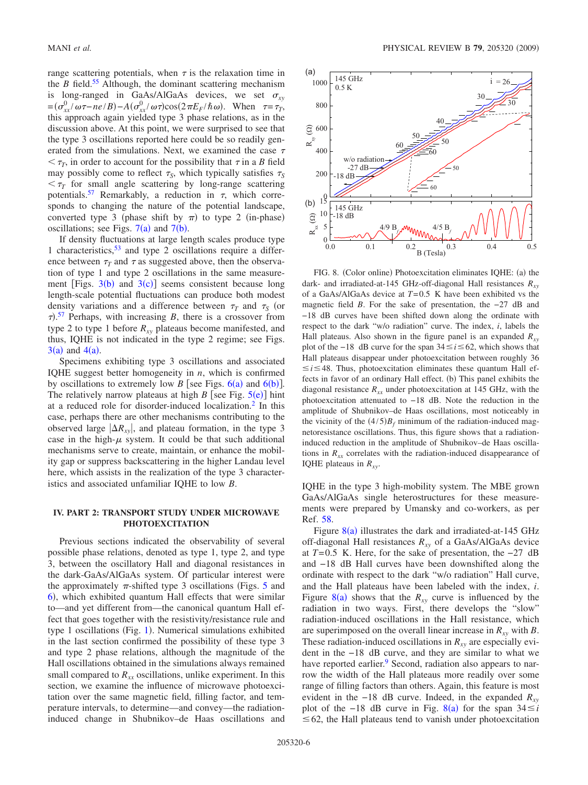range scattering potentials, when  $\tau$  is the relaxation time in the *B* field.<sup>55</sup> Although, the dominant scattering mechanism is long-ranged in GaAs/AlGaAs devices, we set  $\sigma_{xy}$  $=(\sigma_{xx}^0/\omega \tau - ne/B) - A(\sigma_{xx}^0/\omega \tau)\cos(2\pi E_F/\hbar \omega)$ . When  $\tau = \tau_T$ , this approach again yielded type 3 phase relations, as in the discussion above. At this point, we were surprised to see that the type 3 oscillations reported here could be so readily generated from the simulations. Next, we examined the case  $\tau$  $<\tau_T$ , in order to account for the possibility that  $\tau$  in a *B* field may possibly come to reflect  $\tau_s$ , which typically satisfies  $\tau_s$  $\tau_{\tau}$  for small angle scattering by long-range scattering potentials.<sup>57</sup> Remarkably, a reduction in  $\tau$ , which corresponds to changing the nature of the potential landscape, converted type 3 (phase shift by  $\pi$ ) to type 2 (in-phase) oscillations; see Figs.  $7(a)$  $7(a)$  and  $7(b)$ .

If density fluctuations at large length scales produce type 1 characteristics,  $53$  and type 2 oscillations require a difference between  $\tau$ <sup>T</sup> and  $\tau$  as suggested above, then the observation of type 1 and type 2 oscillations in the same measurement [Figs.  $3(b)$  $3(b)$  and  $3(c)$ ] seems consistent because long length-scale potential fluctuations can produce both modest density variations and a difference between  $\tau<sub>T</sub>$  and  $\tau<sub>S</sub>$  (or  $\tau$ ).<sup>[57](#page-9-10)</sup> Perhaps, with increasing *B*, there is a crossover from type 2 to type 1 before  $R_{xy}$  plateaus become manifested, and thus, IQHE is not indicated in the type 2 regime; see Figs.  $3(a)$  $3(a)$  and  $4(a)$  $4(a)$ .

Specimens exhibiting type 3 oscillations and associated IQHE suggest better homogeneity in *n*, which is confirmed by oscillations to extremely low *B* [see Figs.  $6(a)$  $6(a)$  and  $6(b)$ ]. The relatively narrow plateaus at high  $B$  [see Fig.  $5(e)$  $5(e)$ ] hint at a reduced role for disorder-induced localization.<sup>2</sup> In this case, perhaps there are other mechanisms contributing to the observed large  $|\Delta R_{xy}|$ , and plateau formation, in the type 3 case in the high- $\mu$  system. It could be that such additional mechanisms serve to create, maintain, or enhance the mobility gap or suppress backscattering in the higher Landau level here, which assists in the realization of the type 3 characteristics and associated unfamiliar IQHE to low *B*.

# **IV. PART 2: TRANSPORT STUDY UNDER MICROWAVE PHOTOEXCITATION**

Previous sections indicated the observability of several possible phase relations, denoted as type 1, type 2, and type 3, between the oscillatory Hall and diagonal resistances in the dark-GaAs/AlGaAs system. Of particular interest were the approximately  $\pi$ -shifted type 3 oscillations (Figs. [5](#page-3-1) and [6](#page-4-0)), which exhibited quantum Hall effects that were similar to—and yet different from—the canonical quantum Hall effect that goes together with the resistivity/resistance rule and type [1](#page-1-0) oscillations (Fig. 1). Numerical simulations exhibited in the last section confirmed the possibility of these type 3 and type 2 phase relations, although the magnitude of the Hall oscillations obtained in the simulations always remained small compared to  $R_{xx}$  oscillations, unlike experiment. In this section, we examine the influence of microwave photoexcitation over the same magnetic field, filling factor, and temperature intervals, to determine—and convey—the radiationinduced change in Shubnikov–de Haas oscillations and

<span id="page-5-0"></span>

FIG. 8. (Color online) Photoexcitation eliminates IQHE: (a) the dark- and irradiated-at-145 GHz-off-diagonal Hall resistances  $R_{xy}$ of a GaAs/AlGaAs device at *T*= 0.5 K have been exhibited vs the magnetic field *B*. For the sake of presentation, the −27 dB and −18 dB curves have been shifted down along the ordinate with respect to the dark "w/o radiation" curve. The index, *i*, labels the Hall plateaus. Also shown in the figure panel is an expanded  $R_{xy}$ plot of the −18 dB curve for the span 34 *i* 62, which shows that Hall plateaus disappear under photoexcitation between roughly 36  $\leq i \leq 48$ . Thus, photoexcitation eliminates these quantum Hall effects in favor of an ordinary Hall effect. (b) This panel exhibits the diagonal resistance  $R_{xx}$  under photoexcitation at 145 GHz, with the photoexcitation attenuated to −18 dB. Note the reduction in the amplitude of Shubnikov–de Haas oscillations, most noticeably in the vicinity of the  $(4/5)B_f$  minimum of the radiation-induced magnetoresistance oscillations. Thus, this figure shows that a radiationinduced reduction in the amplitude of Shubnikov–de Haas oscillations in  $R_{xx}$  correlates with the radiation-induced disappearance of IQHE plateaus in  $R_{xy}$ .

IQHE in the type 3 high-mobility system. The MBE grown GaAs/AlGaAs single heterostructures for these measurements were prepared by Umansky and co-workers, as per Ref. [58.](#page-9-12)

Figure  $8(a)$  $8(a)$  illustrates the dark and irradiated-at-145 GHz off-diagonal Hall resistances *Rxy* of a GaAs/AlGaAs device at *T*= 0.5 K. Here, for the sake of presentation, the −27 dB and −18 dB Hall curves have been downshifted along the ordinate with respect to the dark "w/o radiation" Hall curve, and the Hall plateaus have been labeled with the index, *i*. Figure  $8(a)$  $8(a)$  shows that the  $R_{xy}$  curve is influenced by the radiation in two ways. First, there develops the "slow" radiation-induced oscillations in the Hall resistance, which are superimposed on the overall linear increase in  $R_{xy}$  with *B*. These radiation-induced oscillations in  $R_{xy}$  are especially evident in the −18 dB curve, and they are similar to what we have reported earlier.<sup>9</sup> Second, radiation also appears to narrow the width of the Hall plateaus more readily over some range of filling factors than others. Again, this feature is most evident in the −18 dB curve. Indeed, in the expanded *Rxy* plot of the −1[8](#page-5-0) dB curve in Fig. 8(a) for the span  $34 \le i$  $\leq$  62, the Hall plateaus tend to vanish under photoexcitation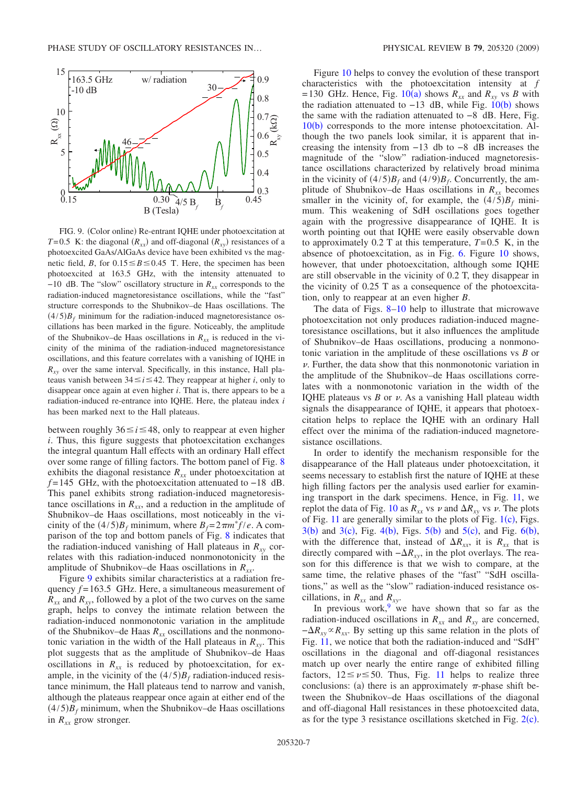<span id="page-6-0"></span>

FIG. 9. (Color online) Re-entrant IQHE under photoexcitation at *T*=0.5 K: the diagonal  $(R_{xx})$  and off-diagonal  $(R_{xy})$  resistances of a photoexcited GaAs/AlGaAs device have been exhibited vs the magnetic field, *B*, for  $0.15 \le B \le 0.45$  T. Here, the specimen has been photoexcited at 163.5 GHz, with the intensity attenuated to  $-10$  dB. The "slow" oscillatory structure in  $R_{xx}$  corresponds to the radiation-induced magnetoresistance oscillations, while the "fast" structure corresponds to the Shubnikov–de Haas oscillations. The  $(4/5)B_f$  minimum for the radiation-induced magnetoresistance oscillations has been marked in the figure. Noticeably, the amplitude of the Shubnikov–de Haas oscillations in  $R_{xx}$  is reduced in the vicinity of the minima of the radiation-induced magnetoresistance oscillations, and this feature correlates with a vanishing of IQHE in  $R_{xy}$  over the same interval. Specifically, in this instance, Hall plateaus vanish between  $34 \le i \le 42$ . They reappear at higher *i*, only to disappear once again at even higher *i*. That is, there appears to be a radiation-induced re-entrance into IQHE. Here, the plateau index *i* has been marked next to the Hall plateaus.

between roughly  $36 \le i \le 48$ , only to reappear at even higher *i*. Thus, this figure suggests that photoexcitation exchanges the integral quantum Hall effects with an ordinary Hall effect over some range of filling factors. The bottom panel of Fig. [8](#page-5-0) exhibits the diagonal resistance  $R_{xx}$  under photoexcitation at *f* = 145 GHz, with the photoexcitation attenuated to −18 dB. This panel exhibits strong radiation-induced magnetoresistance oscillations in  $R_{xx}$ , and a reduction in the amplitude of Shubnikov–de Haas oscillations, most noticeably in the vicinity of the  $(4/5)B_f$  minimum, where  $B_f = 2\pi m^* f/e$ . A comparison of the top and bottom panels of Fig. [8](#page-5-0) indicates that the radiation-induced vanishing of Hall plateaus in  $R_{xy}$  correlates with this radiation-induced nonmonotonicity in the amplitude of Shubnikov–de Haas oscillations in  $R_{rr}$ .

Figure [9](#page-6-0) exhibits similar characteristics at a radiation frequency *f* = 163.5 GHz. Here, a simultaneous measurement of  $R_{xx}$  and  $R_{xy}$ , followed by a plot of the two curves on the same graph, helps to convey the intimate relation between the radiation-induced nonmonotonic variation in the amplitude of the Shubnikov–de Haas  $R_{xx}$  oscillations and the nonmonotonic variation in the width of the Hall plateaus in  $R_{xy}$ . This plot suggests that as the amplitude of Shubnikov–de Haas oscillations in  $R_{xx}$  is reduced by photoexcitation, for example, in the vicinity of the  $(4/5)B_f$  radiation-induced resistance minimum, the Hall plateaus tend to narrow and vanish, although the plateaus reappear once again at either end of the  $(4/5)B_f$  minimum, when the Shubnikov–de Haas oscillations in  $R_{xx}$  grow stronger.

Figure [10](#page-7-0) helps to convey the evolution of these transport characteristics with the photoexcitation intensity at *f*  $= 130$  GHz. Hence, Fig. [10](#page-7-0)(a) shows  $R_{xx}$  and  $R_{xy}$  vs *B* with the radiation attenuated to  $-13$  dB, while Fig.  $10(b)$  $10(b)$  shows the same with the radiation attenuated to −8 dB. Here, Fig.  $10(b)$  $10(b)$  corresponds to the more intense photoexcitation. Although the two panels look similar, it is apparent that increasing the intensity from −13 db to −8 dB increases the magnitude of the "slow" radiation-induced magnetoresistance oscillations characterized by relatively broad minima in the vicinity of  $(4/5)B_f$  and  $(4/9)B_f$ . Concurrently, the amplitude of Shubnikov–de Haas oscillations in  $R_{xx}$  becomes smaller in the vicinity of, for example, the  $(4/5)B_f$  minimum. This weakening of SdH oscillations goes together again with the progressive disappearance of IQHE. It is worth pointing out that IQHE were easily observable down to approximately  $0.2$  T at this temperature,  $T=0.5$  K, in the absence of photoexcitation, as in Fig. [6.](#page-4-0) Figure [10](#page-7-0) shows, however, that under photoexcitation, although some IQHE are still observable in the vicinity of 0.2 T, they disappear in the vicinity of 0.25 T as a consequence of the photoexcitation, only to reappear at an even higher *B*.

The data of Figs. [8](#page-5-0)[–10](#page-7-0) help to illustrate that microwave photoexcitation not only produces radiation-induced magnetoresistance oscillations, but it also influences the amplitude of Shubnikov–de Haas oscillations, producing a nonmonotonic variation in the amplitude of these oscillations vs *B* or  $\nu$ . Further, the data show that this nonmonotonic variation in the amplitude of the Shubnikov–de Haas oscillations correlates with a nonmonotonic variation in the width of the IQHE plateaus vs  $B$  or  $\nu$ . As a vanishing Hall plateau width signals the disappearance of IQHE, it appears that photoexcitation helps to replace the IQHE with an ordinary Hall effect over the minima of the radiation-induced magnetoresistance oscillations.

In order to identify the mechanism responsible for the disappearance of the Hall plateaus under photoexcitation, it seems necessary to establish first the nature of IQHE at these high filling factors per the analysis used earlier for examining transport in the dark specimens. Hence, in Fig. [11,](#page-7-1) we replot the data of Fig. [10](#page-7-0) as  $R_{xx}$  vs  $\nu$  and  $\Delta R_{xy}$  vs  $\nu$ . The plots of Fig.  $11$  are generally similar to the plots of Fig.  $1(c)$  $1(c)$ , Figs.  $3(b)$  $3(b)$  and  $3(c)$ , Fig.  $4(b)$  $4(b)$ , Figs.  $5(b)$  $5(b)$  and  $5(c)$ , and Fig.  $6(b)$  $6(b)$ , with the difference that, instead of  $\Delta R_{xx}$ , it is  $R_{xx}$  that is directly compared with  $-\Delta R_{xy}$ , in the plot overlays. The reason for this difference is that we wish to compare, at the same time, the relative phases of the "fast" "SdH oscillations," as well as the "slow" radiation-induced resistance oscillations, in  $R_{xx}$  and  $R_{xy}$ .

In previous work,<sup>9</sup> we have shown that so far as the radiation-induced oscillations in  $R_{xx}$  and  $R_{xy}$  are concerned,  $-\Delta R_{xy} \propto R_{xx}$ . By setting up this same relation in the plots of Fig. [11,](#page-7-1) we notice that both the radiation-induced and "SdH" oscillations in the diagonal and off-diagonal resistances match up over nearly the entire range of exhibited filling factors,  $12 \le v \le 50$ . Thus, Fig. [11](#page-7-1) helps to realize three conclusions: (a) there is an approximately  $\pi$ -phase shift between the Shubnikov–de Haas oscillations of the diagonal and off-diagonal Hall resistances in these photoexcited data, as for the type 3 resistance oscillations sketched in Fig.  $2(c)$  $2(c)$ .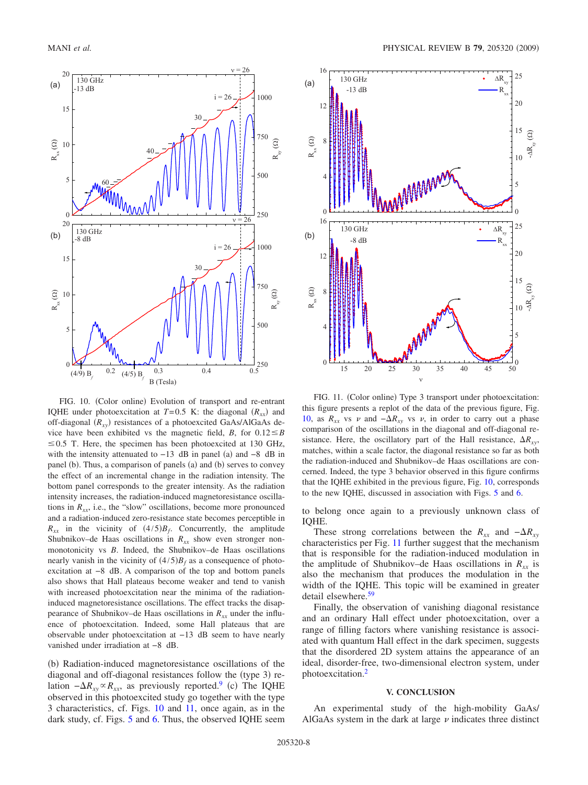<span id="page-7-0"></span>

FIG. 10. (Color online) Evolution of transport and re-entrant IQHE under photoexcitation at  $T=0.5$  K: the diagonal  $(R_{xx})$  and off-diagonal  $(R_{xy})$  resistances of a photoexcited GaAs/AlGaAs device have been exhibited vs the magnetic field, *B*, for  $0.12 \leq B$  $\leq$  0.5 T. Here, the specimen has been photoexcited at 130 GHz, with the intensity attenuated to  $-13$  dB in panel (a) and  $-8$  dB in panel (b). Thus, a comparison of panels (a) and (b) serves to convey the effect of an incremental change in the radiation intensity. The bottom panel corresponds to the greater intensity. As the radiation intensity increases, the radiation-induced magnetoresistance oscillations in  $R_{xx}$ , i.e., the "slow" oscillations, become more pronounced and a radiation-induced zero-resistance state becomes perceptible in  $R_{xx}$  in the vicinity of  $(4/5)B_f$ . Concurrently, the amplitude Shubnikov–de Haas oscillations in  $R_{xx}$  show even stronger nonmonotonicity vs *B*. Indeed, the Shubnikov–de Haas oscillations nearly vanish in the vicinity of  $(4/5)B_f$  as a consequence of photoexcitation at −8 dB. A comparison of the top and bottom panels also shows that Hall plateaus become weaker and tend to vanish with increased photoexcitation near the minima of the radiationinduced magnetoresistance oscillations. The effect tracks the disappearance of Shubnikov–de Haas oscillations in  $R_{xx}$  under the influence of photoexcitation. Indeed, some Hall plateaus that are observable under photoexcitation at −13 dB seem to have nearly vanished under irradiation at −8 dB.

(b) Radiation-induced magnetoresistance oscillations of the diagonal and off-diagonal resistances follow the (type 3) relation  $-\Delta R_{xy} \propto R_{xx}$ , as previously reported.<sup>9</sup> (c) The IQHE observed in this photoexcited study go together with the type 3 characteristics, cf. Figs. [10](#page-7-0) and [11,](#page-7-1) once again, as in the dark study, cf. Figs. [5](#page-3-1) and [6.](#page-4-0) Thus, the observed IQHE seem

<span id="page-7-1"></span>

FIG. 11. (Color online) Type 3 transport under photoexcitation: this figure presents a replot of the data of the previous figure, Fig. [10,](#page-7-0) as  $R_{xx}$  vs  $\nu$  and  $-\Delta R_{xy}$  vs  $\nu$ , in order to carry out a phase comparison of the oscillations in the diagonal and off-diagonal resistance. Here, the oscillatory part of the Hall resistance,  $\Delta R_{\rm rv}$ , matches, within a scale factor, the diagonal resistance so far as both the radiation-induced and Shubnikov–de Haas oscillations are concerned. Indeed, the type 3 behavior observed in this figure confirms that the IQHE exhibited in the previous figure, Fig. [10,](#page-7-0) corresponds to the new IQHE, discussed in association with Figs. [5](#page-3-1) and [6.](#page-4-0)

to belong once again to a previously unknown class of IQHE.

These strong correlations between the  $R_{xx}$  and  $-\Delta R_{xy}$ characteristics per Fig. [11](#page-7-1) further suggest that the mechanism that is responsible for the radiation-induced modulation in the amplitude of Shubnikov–de Haas oscillations in  $R_{xx}$  is also the mechanism that produces the modulation in the width of the IQHE. This topic will be examined in greater detail elsewhere.<sup>59</sup>

Finally, the observation of vanishing diagonal resistance and an ordinary Hall effect under photoexcitation, over a range of filling factors where vanishing resistance is associated with quantum Hall effect in the dark specimen, suggests that the disordered 2D system attains the appearance of an ideal, disorder-free, two-dimensional electron system, under photoexcitation[.2](#page-8-2)

#### **V. CONCLUSION**

An experimental study of the high-mobility GaAs/ AlGaAs system in the dark at large  $\nu$  indicates three distinct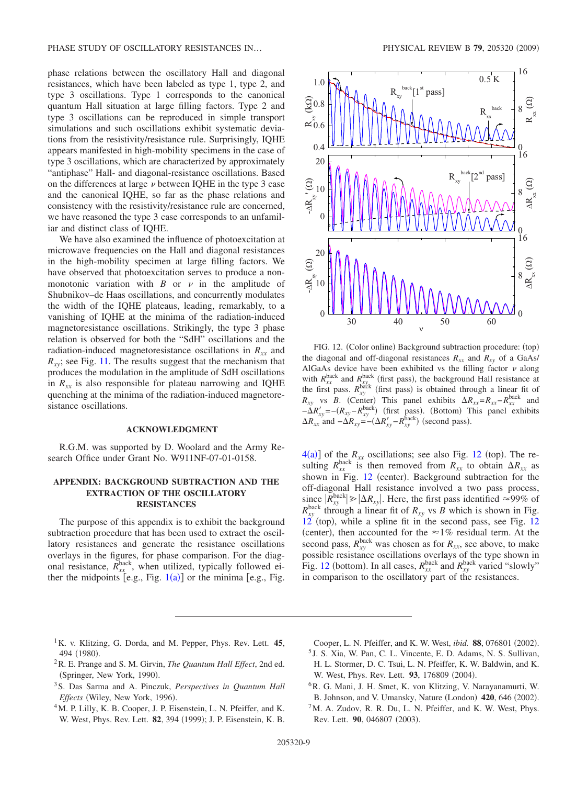phase relations between the oscillatory Hall and diagonal resistances, which have been labeled as type 1, type 2, and type 3 oscillations. Type 1 corresponds to the canonical quantum Hall situation at large filling factors. Type 2 and type 3 oscillations can be reproduced in simple transport simulations and such oscillations exhibit systematic deviations from the resistivity/resistance rule. Surprisingly, IQHE appears manifested in high-mobility specimens in the case of type 3 oscillations, which are characterized by approximately "antiphase" Hall- and diagonal-resistance oscillations. Based on the differences at large  $\nu$  between IQHE in the type 3 case and the canonical IQHE, so far as the phase relations and consistency with the resistivity/resistance rule are concerned, we have reasoned the type 3 case corresponds to an unfamiliar and distinct class of IQHE.

We have also examined the influence of photoexcitation at microwave frequencies on the Hall and diagonal resistances in the high-mobility specimen at large filling factors. We have observed that photoexcitation serves to produce a nonmonotonic variation with  $B$  or  $\nu$  in the amplitude of Shubnikov–de Haas oscillations, and concurrently modulates the width of the IQHE plateaus, leading, remarkably, to a vanishing of IQHE at the minima of the radiation-induced magnetoresistance oscillations. Strikingly, the type 3 phase relation is observed for both the "SdH" oscillations and the radiation-induced magnetoresistance oscillations in  $R_{xx}$  and  $R_{xy}$ ; see Fig. [11.](#page-7-1) The results suggest that the mechanism that produces the modulation in the amplitude of SdH oscillations in  $R_{xx}$  is also responsible for plateau narrowing and IQHE quenching at the minima of the radiation-induced magnetoresistance oscillations.

# **ACKNOWLEDGMENT**

R.G.M. was supported by D. Woolard and the Army Research Office under Grant No. W911NF-07-01-0158.

# **APPENDIX: BACKGROUND SUBTRACTION AND THE EXTRACTION OF THE OSCILLATORY RESISTANCES**

The purpose of this appendix is to exhibit the background subtraction procedure that has been used to extract the oscillatory resistances and generate the resistance oscillations overlays in the figures, for phase comparison. For the diagonal resistance,  $R_{xx}^{\text{back}}$ , when utilized, typically followed either the midpoints [e.g., Fig.  $1(a)$  $1(a)$ ] or the minima [e.g., Fig.

<span id="page-8-5"></span>

FIG. 12. (Color online) Background subtraction procedure: (top) the diagonal and off-diagonal resistances  $R_{xx}$  and  $R_{xy}$  of a GaAs/ AlGaAs device have been exhibited vs the filling factor  $\nu$  along with  $R_{xx}^{\text{back}}$  and  $R_{xy}^{\text{back}}$  (first pass), the background Hall resistance at the first pass.  $R_{xy}^{\text{back}}$  (first pass) is obtained through a linear fit of  $R_{xy}$  vs *B*. (Center) This panel exhibits  $\Delta R_{xx} = R_{xx} - R_{xx}^{back}$  and  $-\Delta R'_{xy} = -(R_{xy} - R_{xy}^{\text{back}})$  (first pass). (Bottom) This panel exhibits  $\Delta R_{xx}$  and  $-\Delta R_{xy} = -(\Delta R'_{xy} - R_{xy}^{\text{back}})$  (second pass).

 $4(a)$  $4(a)$ ] of the  $R_{xx}$  oscillations; see also Fig. [12](#page-8-5) (top). The resulting  $R_{xx}^{\text{back}}$  is then removed from  $R_{xx}$  to obtain  $\Delta R_{xx}$  as shown in Fig. [12](#page-8-5) (center). Background subtraction for the off-diagonal Hall resistance involved a two pass process,  $\sup_{\text{back}} |R_{xy}^{\text{back}}| \ge |\Delta R_{xy}|$ . Here, the first pass identified  $\approx 99\%$  of  $R_{xy}^{\text{back}}$  through a linear fit of  $R_{xy}$  vs *B* which is shown in Fig.  $12$ <sup>'</sup> (top), while a spline fit in the second pass, see Fig. 12 (center), then accounted for the  $\approx$ 1% residual term. At the second pass,  $R_{xy}^{\text{back}}$  was chosen as for  $R_{xx}$ , see above, to make possible resistance oscillations overlays of the type shown in Fig. [12](#page-8-5) (bottom). In all cases,  $R_{xx}^{\text{back}}$  and  $R_{xy}^{\text{back}}$  varied "slowly" in comparison to the oscillatory part of the resistances.

- 1K. v. Klitzing, G. Dorda, and M. Pepper, Phys. Rev. Lett. **45**, 494 (1980).
- <span id="page-8-0"></span>2R. E. Prange and S. M. Girvin, *The Quantum Hall Effect*, 2nd ed. (Springer, New York, 1990).
- <span id="page-8-2"></span>3S. Das Sarma and A. Pinczuk, *Perspectives in Quantum Hall* Effects (Wiley, New York, 1996).
- <span id="page-8-1"></span>4M. P. Lilly, K. B. Cooper, J. P. Eisenstein, L. N. Pfeiffer, and K. W. West, Phys. Rev. Lett. 82, 394 (1999); J. P. Eisenstein, K. B.

Cooper, L. N. Pfeiffer, and K. W. West, *ibid.* 88, 076801 (2002).

- <sup>5</sup> J. S. Xia, W. Pan, C. L. Vincente, E. D. Adams, N. S. Sullivan, H. L. Stormer, D. C. Tsui, L. N. Pfeiffer, K. W. Baldwin, and K. W. West, Phys. Rev. Lett. 93, 176809 (2004).
- <span id="page-8-3"></span>6R. G. Mani, J. H. Smet, K. von Klitzing, V. Narayanamurti, W. B. Johnson, and V. Umansky, Nature (London) 420, 646 (2002).
- <span id="page-8-4"></span> ${}^{7}$ M. A. Zudov, R. R. Du, L. N. Pfeiffer, and K. W. West, Phys. Rev. Lett. 90, 046807 (2003).